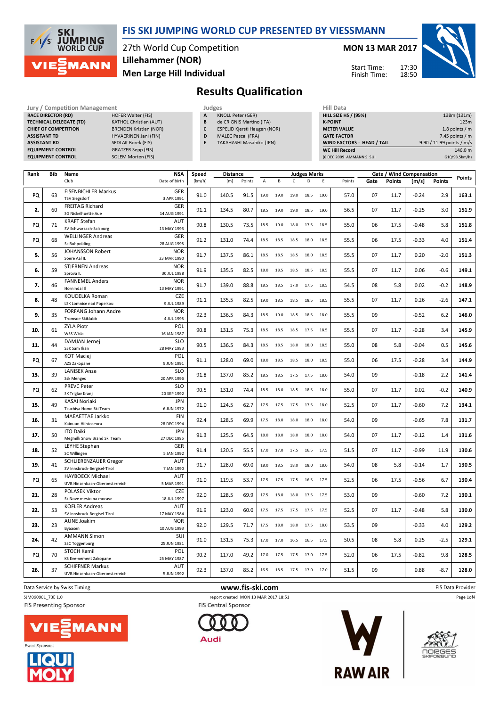

### FIS SKI JUMPING WORLD CUP PRESENTED BY VIESSMANN

27th World Cup Competition Men Large Hill Individual Lillehammer (NOR)

MON 13 MAR 2017

Start Time: Finish Time:



## Results Qualification

| Jury / Competition Management  |                               |   |           |  |  |  |
|--------------------------------|-------------------------------|---|-----------|--|--|--|
| <b>RACE DIRECTOR (RD)</b>      | <b>HOFER Walter (FIS)</b>     | A | <b>KN</b> |  |  |  |
| <b>TECHNICAL DELEGATE (TD)</b> | <b>KATHOL Christian (AUT)</b> | B | de        |  |  |  |
| <b>CHIEF OF COMPETITION</b>    | <b>BRENDEN Kristian (NOR)</b> | C | ES        |  |  |  |
| <b>ASSISTANT TD</b>            | HYVAERINEN Jani (FIN)         | D | M.        |  |  |  |
| <b>ASSISTANT RD</b>            | <b>SEDLAK Borek (FIS)</b>     | E | <b>TA</b> |  |  |  |
| <b>EQUIPMENT CONTROL</b>       | <b>GRATZER Sepp (FIS)</b>     |   |           |  |  |  |
| <b>EQUIPMENT CONTROL</b>       | <b>SOLEM Morten (FIS)</b>     |   |           |  |  |  |
|                                |                               |   |           |  |  |  |

KNOLL Peter (GER)

- B de CRIGNIS Martino (ITA)
- C ESPELID Kjersti Haugen (NOR)
- D MALEC Pascal (FRA)
- E TAKAHASHI Masahiko (JPN)

| Hill Data                         |                           |
|-----------------------------------|---------------------------|
| <b>HILL SIZE HS / (95%)</b>       | 138m (131m)               |
| <b>K-POINT</b>                    | 123m                      |
| <b>METER VALUE</b>                | 1.8 points $/m$           |
| <b>GATE FACTOR</b>                | 7.45 points $/m$          |
| <b>WIND FACTORS - HEAD / TAIL</b> | 9.90 / 11.99 points / m/s |
| <b>WC Hill Record</b>             | 146.0 m                   |
| (6 DEC 2009 AMMANN S. SUI         | G10/93.5km/h)             |

17:30 18:50

| Rank | Bib | Name                                                        | <b>NSA</b><br>Speed<br><b>Distance</b> |        |       | <b>Judges Marks</b> |                |                          |              |      |      | Gate / Wind Compensation |      |               |         | <b>Points</b> |       |
|------|-----|-------------------------------------------------------------|----------------------------------------|--------|-------|---------------------|----------------|--------------------------|--------------|------|------|--------------------------|------|---------------|---------|---------------|-------|
|      |     | Club                                                        | Date of birth                          | [km/h] | [m]   | Points              | $\overline{A}$ | B                        | $\mathsf{C}$ | D    | E    | Points                   | Gate | <b>Points</b> | [m/s]   | <b>Points</b> |       |
| PQ   | 63  | <b>EISENBICHLER Markus</b><br><b>TSV Siegsdorf</b>          | GER<br>3 APR 1991                      | 91.0   | 140.5 | 91.5                | 19.0           | 19.0                     | 19.0         | 18.5 | 19.0 | 57.0                     | 07   | 11.7          | $-0.24$ | 2.9           | 163.1 |
| 2.   | 60  | <b>FREITAG Richard</b><br>SG Nickelhuette Aue               | GER<br>14 AUG 1991                     | 91.1   | 134.5 | 80.7                | 18.5           | 19.0                     | 19.0         | 18.5 | 19.0 | 56.5                     | 07   | 11.7          | $-0.25$ | 3.0           | 151.9 |
| PQ   | 71  | <b>KRAFT Stefan</b><br>SV Schwarzach-Salzburg               | AUT<br>13 MAY 1993                     | 90.8   | 130.5 | 73.5                | 18.5           | 19.0                     | 18.0         | 17.5 | 18.5 | 55.0                     | 06   | 17.5          | $-0.48$ | 5.8           | 151.8 |
| PQ   | 68  | <b>WELLINGER Andreas</b><br><b>Sc Ruhpolding</b>            | <b>GER</b><br>28 AUG 1995              | 91.2   | 131.0 | 74.4                | 18.5           | 18.5                     | 18.5         | 18.0 | 18.5 | 55.5                     | 06   | 17.5          | $-0.33$ | 4.0           | 151.4 |
| 5.   | 56  | JOHANSSON Robert<br>Soere Aal IL                            | <b>NOR</b><br>23 MAR 1990              | 91.7   | 137.5 | 86.1                | 18.5           | 18.5                     | 18.5         | 18.0 | 18.5 | 55.5                     | 07   | 11.7          | 0.20    | $-2.0$        | 151.3 |
| 6.   | 59  | <b>STJERNEN Andreas</b><br>Sprova IL                        | <b>NOR</b><br>30 JUL 1988              | 91.9   | 135.5 | 82.5                | 18.0           | 18.5                     | 18.5         | 18.5 | 18.5 | 55.5                     | 07   | 11.7          | 0.06    | $-0.6$        | 149.1 |
| 7.   | 46  | <b>FANNEMEL Anders</b><br>Hornindal II                      | <b>NOR</b><br>13 MAY 1991              | 91.7   | 139.0 | 88.8                | 18.5           | 18.5                     | 17.0         | 17.5 | 18.5 | 54.5                     | 08   | 5.8           | 0.02    | $-0.2$        | 148.9 |
| 8.   | 48  | KOUDELKA Roman<br><b>LSK Lomnice nad Popelkou</b>           | CZE<br>9 JUL 1989                      | 91.1   | 135.5 | 82.5                | 19.0           | 18.5                     | 18.5         | 18.5 | 18.5 | 55.5                     | 07   | 11.7          | 0.26    | $-2.6$        | 147.1 |
| 9.   | 35  | FORFANG Johann Andre<br><b>Tromsoe Skiklubb</b>             | <b>NOR</b><br>4 JUL 1995               | 92.3   | 136.5 | 84.3                | 18.5           | 19.0                     | 18.5 18.5    |      | 18.0 | 55.5                     | 09   |               | $-0.52$ | 6.2           | 146.0 |
| 10.  | 61  | <b>ZYLA Piotr</b><br>WSS Wisla                              | POL<br>16 JAN 1987                     | 90.8   | 131.5 | 75.3                | 18.5           | 18.5                     | 18.5         | 17.5 | 18.5 | 55.5                     | 07   | 11.7          | $-0.28$ | 3.4           | 145.9 |
| 11.  | 44  | DAMJAN Jernej<br>SSK Sam Ihan                               | <b>SLO</b><br>28 MAY 1983              | 90.5   | 136.5 | 84.3                | 18.5           | 18.5                     | 18.0         | 18.0 | 18.5 | 55.0                     | 08   | 5.8           | $-0.04$ | 0.5           | 145.6 |
| PQ   | 67  | <b>KOT Maciej</b><br>AZS Zakopane                           | POL<br>9 JUN 1991                      | 91.1   | 128.0 | 69.0                | 18.0           | 18.5                     | 18.5         | 18.0 | 18.5 | 55.0                     | 06   | 17.5          | $-0.28$ | 3.4           | 144.9 |
| 13.  | 39  | <b>LANISEK Anze</b><br><b>Ssk Menges</b>                    | <b>SLO</b><br>20 APR 1996              | 91.8   | 137.0 | 85.2                | 18.5           | 18.5                     | 17.5         | 17.5 | 18.0 | 54.0                     | 09   |               | $-0.18$ | 2.2           | 141.4 |
| PQ   | 62  | <b>PREVC Peter</b><br>SK Triglav Kranj                      | <b>SLO</b><br>20 SEP 1992              | 90.5   | 131.0 | 74.4                | 18.5           | 18.0                     | 18.5         | 18.5 | 18.0 | 55.0                     | 07   | 11.7          | 0.02    | $-0.2$        | 140.9 |
| 15.  | 49  | <b>KASAI Noriaki</b><br>Tsuchiya Home Ski Team              | <b>JPN</b><br>6 JUN 1972               | 91.0   | 124.5 | 62.7                | 17.5           | 17.5                     | 17.5         | 17.5 | 18.0 | 52.5                     | 07   | 11.7          | $-0.60$ | 7.2           | 134.1 |
| 16.  | 31  | <b>MAEAETTAE Jarkko</b><br>Kainuun Hiihtoseura              | <b>FIN</b><br>28 DEC 1994              | 92.4   | 128.5 | 69.9                | 17.5           | 18.0                     | 18.0 18.0    |      | 18.0 | 54.0                     | 09   |               | $-0.65$ | 7.8           | 131.7 |
| 17.  | 50  | <b>ITO Daiki</b><br>Megmilk Snow Brand Ski Team             | <b>JPN</b><br>27 DEC 1985              | 91.3   | 125.5 | 64.5                | 18.0           | 18.0                     | 18.0         | 18.0 | 18.0 | 54.0                     | 07   | 11.7          | $-0.12$ | 1.4           | 131.6 |
| 18.  | 52  | <b>LEYHE Stephan</b><br>SC Willingen                        | GER<br>5 JAN 1992                      | 91.4   | 120.5 | 55.5                | 17.0           | 17.0                     | 17.5         | 16.5 | 17.5 | 51.5                     | 07   | 11.7          | $-0.99$ | 11.9          | 130.6 |
| 19.  | 41  | <b>SCHLIERENZAUER Gregor</b><br>SV Innsbruck-Bergisel-Tirol | <b>AUT</b><br>7 JAN 1990               | 91.7   | 128.0 | 69.0                | 18.0           | 18.5                     | 18.0         | 18.0 | 18.0 | 54.0                     | 08   | 5.8           | $-0.14$ | 1.7           | 130.5 |
| PQ   | 65  | HAYBOECK Michael<br>UVB Hinzenbach-Oberoesterreich          | <b>AUT</b><br>5 MAR 1991               | 91.0   | 119.5 | 53.7                | 17.5           | 17.5                     | 17.5         | 16.5 | 17.5 | 52.5                     | 06   | 17.5          | $-0.56$ | 6.7           | 130.4 |
| 21.  | 28  | POLASEK Viktor<br>Sk Nove mesto na morave                   | <b>CZE</b><br>18 JUL 1997              | 92.0   | 128.5 | 69.9                | 17.5           | 18.0                     | 18.0         | 17.5 | 17.5 | 53.0                     | 09   |               | $-0.60$ | 7.2           | 130.1 |
| 22.  | 53  | <b>KOFLER Andreas</b>                                       | <b>AUT</b>                             | 91.9   | 123.0 | 60.0                | 17.5           | 17.5                     | 17.5         | 17.5 | 17.5 | 52.5                     | 07   | 11.7          | $-0.48$ | 5.8           | 130.0 |
| 23.  | 23  | SV Innsbruck-Bergisel-Tirol<br><b>AUNE Joakim</b>           | 17 MAY 1984<br><b>NOR</b>              | 92.0   | 129.5 | 71.7                | 17.5           | 18.0                     | 18.0         | 17.5 | 18.0 | 53.5                     | 09   |               | $-0.33$ | 4.0           | 129.2 |
| 24.  | 42  | Byaasen<br><b>AMMANN Simon</b>                              | 10 AUG 1993<br>SUI                     | 91.0   | 131.5 | 75.3                | 17.0           | 17.0                     | 16.5         | 16.5 | 17.5 | 50.5                     | 08   | 5.8           | 0.25    | $-2.5$        | 129.1 |
|      |     | <b>SSC Toggenburg</b>                                       | 25 JUN 1981                            |        |       |                     |                |                          |              |      |      |                          |      |               |         |               |       |
| PQ   | 70  | <b>STOCH Kamil</b><br>KS Eve-nement Zakopane                | POL<br>25 MAY 1987                     | 90.2   | 117.0 | 49.2                | 17.0           | 17.5                     | 17.5         | 17.0 | 17.5 | 52.0                     | 06   | 17.5          | $-0.82$ | 9.8           | 128.5 |
| 26.  | 37  | <b>SCHIFFNER Markus</b><br>UVB Hinzenbach-Oberoesterreich   | AUT<br>5 JUN 1992                      | 92.3   | 137.0 | 85.2                |                | 16.5 18.5 17.5 17.0 17.0 |              |      |      | 51.5                     | 09   |               | 0.88    | $-8.7$        | 128.0 |

Data Service by Swiss Timing **EXECUTE 19 The State Of Constant Constant Constant Constant Constant Constant Constant Constant Constant Constant Constant Constant Constant Constant Constant Constant Constant Constant Consta** SJM090901\_73E 1.0 report created MON 13 MAR 2017 18:51

FIS Presenting Sponsor







**FIS Central Sponsor** 





Page 1of4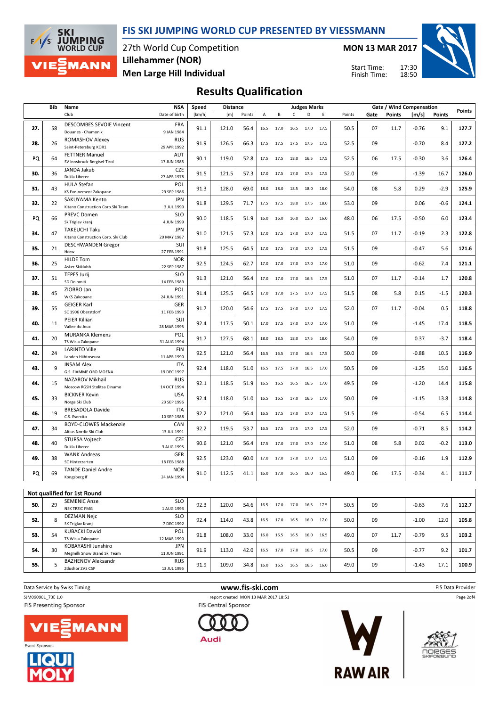

27th World Cup Competition Lillehammer (NOR)

MON 13 MAR 2017

Start Time: Finish Time: 17:30 18:50



Men Large Hill Individual

**SKI<br>JUMPING<br>WORLD CUP** 

**MANN** 

 $F/1/s$ 

Results Qualification

|     | Bib | Name                                                                        | NSA                                      | Speed  | <b>Distance</b> |        |      |                                                        |                | <b>Judges Marks</b> |      |        |      |               | Gate / Wind Compensation |        | Points |
|-----|-----|-----------------------------------------------------------------------------|------------------------------------------|--------|-----------------|--------|------|--------------------------------------------------------|----------------|---------------------|------|--------|------|---------------|--------------------------|--------|--------|
|     |     | Club                                                                        | Date of birth                            | [km/h] | [m]             | Points | Α    | В                                                      | $\mathsf{C}$   | D                   | Ε    | Points | Gate | <b>Points</b> | [m/s]                    | Points |        |
| 27. | 58  | <b>DESCOMBES SEVOIE Vincent</b><br>Douanes - Chamonix                       | <b>FRA</b><br>9 JAN 1984                 | 91.1   | 121.0           | 56.4   | 16.5 | 17.0                                                   | 16.5           | 17.0                | 17.5 | 50.5   | 07   | 11.7          | $-0.76$                  | 9.1    | 127.7  |
| 28. | 26  | ROMASHOV Alexey<br>Saint-Petersburg KOR1                                    | <b>RUS</b><br>29 APR 1992                | 91.9   | 126.5           | 66.3   | 17.5 | 17.5                                                   | 17.5           | 17.5                | 17.5 | 52.5   | 09   |               | $-0.70$                  | 8.4    | 127.2  |
| PQ  | 64  | <b>FETTNER Manuel</b><br>SV Innsbruck-Bergisel-Tirol                        | <b>AUT</b><br>17 JUN 1985                | 90.1   | 119.0           | 52.8   | 17.5 | 17.5                                                   | 18.0           | 16.5                | 17.5 | 52.5   | 06   | 17.5          | $-0.30$                  | 3.6    | 126.4  |
| 30. | 36  | JANDA Jakub<br>Dukla Liberec                                                | CZE<br>27 APR 1978                       | 91.5   | 121.5           | 57.3   | 17.0 |                                                        | 17.5 17.0      | 17.5                | 17.5 | 52.0   | 09   |               | $-1.39$                  | 16.7   | 126.0  |
| 31. | 43  | <b>HULA Stefan</b><br>KS Eve-nement Zakopane                                | POL<br>29 SEP 1986                       | 91.3   | 128.0           | 69.0   | 18.0 | 18.0                                                   | 18.5           | 18.0                | 18.0 | 54.0   | 08   | 5.8           | 0.29                     | $-2.9$ | 125.9  |
| 32. | 22  | SAKUYAMA Kento<br>Kitano Construction Corp. Ski Team                        | <b>JPN</b><br>3 JUL 1990                 | 91.8   | 129.5           | 71.7   | 17.5 | 17.5                                                   | 18.0           | 17.5                | 18.0 | 53.0   | 09   |               | 0.06                     | $-0.6$ | 124.1  |
| PQ  | 66  | PREVC Domen<br>Sk Triglav kranj                                             | <b>SLO</b><br>4 JUN 1999                 | 90.0   | 118.5           | 51.9   | 16.0 | 16.0                                                   | 16.0           | 15.0                | 16.0 | 48.0   | 06   | 17.5          | $-0.50$                  | 6.0    | 123.4  |
| 34. | 47  | <b>TAKEUCHI Taku</b><br>Kitano Construction Corp. Ski Club                  | <b>JPN</b><br>20 MAY 1987                | 91.0   | 121.5           | 57.3   | 17.0 |                                                        | 17.5 17.0 17.0 |                     | 17.5 | 51.5   | 07   | 11.7          | $-0.19$                  | 2.3    | 122.8  |
| 35. | 21  | <b>DESCHWANDEN Gregor</b><br>Horw                                           | SUI<br>27 FEB 1991                       | 91.8   | 125.5           | 64.5   |      | 17.0 17.5 17.0 17.0                                    |                |                     | 17.5 | 51.5   | 09   |               | $-0.47$                  | 5.6    | 121.6  |
| 36. | 25  | <b>HILDE Tom</b><br>Asker Skiklubb                                          | <b>NOR</b><br>22 SEP 1987                | 92.5   | 124.5           | 62.7   |      | 17.0 17.0 17.0 17.0                                    |                |                     | 17.0 | 51.0   | 09   |               | $-0.62$                  | 7.4    | 121.1  |
| 37. | 51  | <b>TEPES Jurij</b><br>SD Dolomiti                                           | <b>SLO</b><br>14 FEB 1989                | 91.3   | 121.0           | 56.4   |      | 17.0 17.0 17.0 16.5                                    |                |                     | 17.5 | 51.0   | 07   | 11.7          | $-0.14$                  | 1.7    | 120.8  |
| 38. | 45  | ZIOBRO Jan<br>WKS Zakopane                                                  | POL<br>24 JUN 1991                       | 91.4   | 125.5           | 64.5   |      | 17.0 17.0 17.5 17.0                                    |                |                     | 17.5 | 51.5   | 08   | 5.8           | 0.15                     | $-1.5$ | 120.3  |
| 39. | 55  | <b>GEIGER Karl</b><br>SC 1906 Oberstdorf                                    | GER<br>11 FEB 1993                       | 91.7   | 120.0           | 54.6   |      | 17.5 17.5                                              | 17.0           | 17.0                | 17.5 | 52.0   | 07   | 11.7          | $-0.04$                  | 0.5    | 118.8  |
| 40. | 11  | PEIER Killian<br>Vallee du Joux                                             | SUI<br>28 MAR 1995                       | 92.4   | 117.5           | 50.1   |      | 17.0 17.5 17.0 17.0                                    |                |                     | 17.0 | 51.0   | 09   |               | $-1.45$                  | 17.4   | 118.5  |
| 41. | 20  | <b>MURANKA Klemens</b><br>TS Wisla Zakopane                                 | POL<br>31 AUG 1994                       | 91.7   | 127.5           | 68.1   | 18.0 | 18.5                                                   | 18.0           | 17.5                | 18.0 | 54.0   | 09   |               | 0.37                     | $-3.7$ | 118.4  |
| 42. | 24  | <b>LARINTO Ville</b><br>Lahden Hiihtoseura                                  | <b>FIN</b><br>11 APR 1990                | 92.5   | 121.0           | 56.4   |      | 16.5 16.5 17.0 16.5                                    |                |                     | 17.5 | 50.0   | 09   |               | $-0.88$                  | 10.5   | 116.9  |
| 43. | 9   | <b>INSAM Alex</b><br>G.S. FIAMME ORO MOENA                                  | <b>ITA</b><br>19 DEC 1997                | 92.4   | 118.0           | 51.0   |      | 16.5 17.5 17.0                                         |                | 16.5                | 17.0 | 50.5   | 09   |               | $-1.25$                  | 15.0   | 116.5  |
| 44. | 15  | NAZAROV Mikhail<br>Moscow RGSH Stolitsa Dinamo                              | <b>RUS</b><br>14 OCT 1994                | 92.1   | 118.5           | 51.9   | 16.5 |                                                        | 16.5 16.5 16.5 |                     | 17.0 | 49.5   | 09   |               | $-1.20$                  | 14.4   | 115.8  |
| 45. | 33  | <b>BICKNER Kevin</b><br>Norge Ski Club                                      | <b>USA</b><br>23 SEP 1996                | 92.4   | 118.0           | 51.0   | 16.5 | 16.5                                                   | 17.0           | 16.5                | 17.0 | 50.0   | 09   |               | $-1.15$                  | 13.8   | 114.8  |
| 46. | 19  | <b>BRESADOLA Davide</b><br>C.S. Esercito                                    | <b>ITA</b><br>10 SEP 1988                | 92.2   | 121.0           | 56.4   | 16.5 | 17.5                                                   | 17.0           | 17.0                | 17.5 | 51.5   | 09   |               | $-0.54$                  | 6.5    | 114.4  |
| 47. | 34  | <b>BOYD-CLOWES Mackenzie</b><br>Altius Nordic Ski Club                      | CAN<br>13 JUL 1991                       | 92.2   | 119.5           | 53.7   | 16.5 | 17.5                                                   | 17.5           | 17.0                | 17.5 | 52.0   | 09   |               | $-0.71$                  | 8.5    | 114.2  |
| 48. | 40  | <b>STURSA Voitech</b><br>Dukla Liberec                                      | <b>CZE</b><br>3 AUG 1995                 | 90.6   | 121.0           | 56.4   | 17.5 | 17.0                                                   | 17.0           | 17.0                | 17.0 | 51.0   | 08   | 5.8           | 0.02                     | $-0.2$ | 113.0  |
| 49. | 38  | <b>WANK Andreas</b><br>SC Hinterzarten                                      | GER<br>18 FEB 1988                       | 92.5   | 123.0           | 60.0   | 17.0 | 17.0                                                   | 17.0           | 17.0                | 17.5 | 51.0   | 09   |               | $-0.16$                  | 1.9    | 112.9  |
| PQ  | 69  | <b>TANDE Daniel Andre</b><br>Kongsberg If                                   | <b>NOR</b><br>24 JAN 1994                | 91.0   | 112.5           | 41.1   | 16.0 | 17.0                                                   | 16.5           | 16.0                | 16.5 | 49.0   | 06   | 17.5          | $-0.34$                  | 4.1    | 111.7  |
|     |     |                                                                             |                                          |        |                 |        |      |                                                        |                |                     |      |        |      |               |                          |        |        |
| 50. | 29  | Not qualified for 1st Round<br><b>SEMENIC Anze</b>                          | <b>SLO</b>                               | 92.3   | 120.0           | 54.6   |      | 16.5 17.0 17.0 16.5 17.5                               |                |                     |      | 50.5   | 09   |               | $-0.63$                  | 7.6    | 112.7  |
| 52. | 8   | <b>NSK TRZIC FMG</b><br><b>DEZMAN Nejc</b>                                  | 1 AUG 1993<br><b>SLO</b>                 | 92.4   | 114.0           | 43.8   |      | 16.5 17.0 16.5 16.0 17.0                               |                |                     |      | 50.0   | 09   |               | $-1.00$                  | 12.0   | 105.8  |
| 53. | 54  | SK Triglav Kranj<br><b>KUBACKI Dawid</b>                                    | 7 DEC 1992<br>POL                        | 91.8   | 108.0           | 33.0   |      | $16.0 \qquad 16.5 \qquad 16.5 \qquad 16.0 \qquad 16.5$ |                |                     |      | 49.0   | 07   | 11.7          | $-0.79$                  | 9.5    | 103.2  |
| 54. | 30  | TS Wisla Zakopane<br>KOBAYASHI Junshiro                                     | 12 MAR 1990<br><b>JPN</b>                | 91.9   | 113.0           | 42.0   |      | 16.5 17.0 17.0 16.5 17.0                               |                |                     |      | 50.5   | 09   |               | $-0.77$                  | 9.2    | 101.7  |
| 55. | 5   | Megmilk Snow Brand Ski Team<br><b>BAZHENOV Aleksandr</b><br>Zdushor ZVS CSP | 11 JUN 1991<br><b>RUS</b><br>13 JUL 1995 | 91.9   | 109.0           | 34.8   |      | $16.0 \qquad 16.5 \qquad 16.5 \qquad 16.5 \qquad 16.0$ |                |                     |      | 49.0   | 09   |               | $-1.43$                  | 17.1   | 100.9  |
|     |     |                                                                             |                                          |        |                 |        |      |                                                        |                |                     |      |        |      |               |                          |        |        |

SJM090901\_73E 1.0 report created MON 13 MAR 2017 18:51

**FIS Presenting Sponsor** 







**FIS Central Sponsor** 





Data Service by Swiss Timing **EXECUTE:** The Same of the WWW.fis-ski.com **EXECUTE:** FIS Data Provider Page 2of4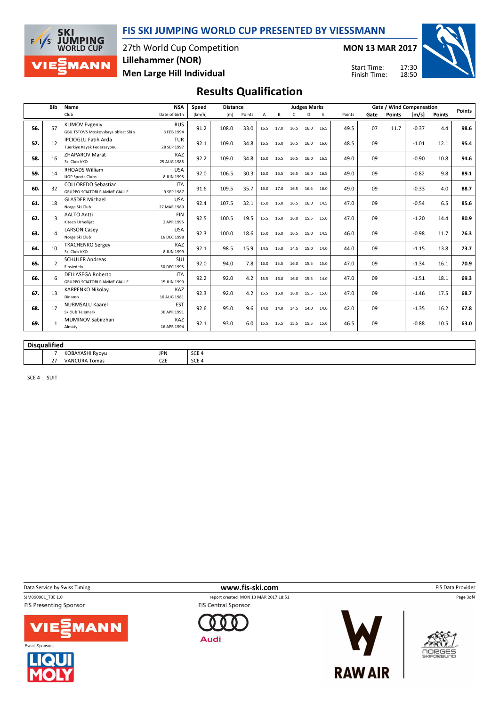FIS SKI JUMPING WORLD CUP PRESENTED BY VIESSMANN

27th World Cup Competition Lillehammer (NOR)

Men Large Hill Individual

MON 13 MAR 2017

Start Time: Finish Time: 17:30 18:50



# Results Qualification

|     | <b>Bib</b>          | Name                                                         | <b>NSA</b>                | Speed            | <b>Distance</b> |        |                |           |              | <b>Judges Marks</b> |      |        | Gate / Wind Compensation |               |         |               |               |  |
|-----|---------------------|--------------------------------------------------------------|---------------------------|------------------|-----------------|--------|----------------|-----------|--------------|---------------------|------|--------|--------------------------|---------------|---------|---------------|---------------|--|
|     |                     | Club                                                         | Date of birth             | [km/h]           | [m]             | Points | $\overline{A}$ | B         | $\mathsf{C}$ | D                   | F    | Points | Gate                     | <b>Points</b> | [m/s]   | <b>Points</b> | <b>Points</b> |  |
|     |                     |                                                              |                           |                  |                 |        |                |           |              |                     |      |        |                          |               |         |               |               |  |
| 56. | 57                  | <b>KLIMOV Evgeniy</b><br>GBU TSTOVS Moskovskaya oblast Ski s | <b>RUS</b><br>3 FEB 1994  | 91.2             | 108.0           | 33.0   | 16.5           | 17.0      | 16.5         | 16.0                | 16.5 | 49.5   | 07                       | 11.7          | $-0.37$ | 4.4           | 98.6          |  |
|     |                     | <b>IPCIOGLU Fatih Arda</b>                                   | <b>TUR</b>                |                  |                 |        |                |           |              |                     |      |        |                          |               |         |               |               |  |
| 57. | 12                  | Tuerkiye Kayak Federasyonu                                   | 28 SEP 1997               | 92.1             | 109.0           | 34.8   | 16.5           | 16.0      | 16.5         | 16.0                | 16.0 | 48.5   | 09                       |               | $-1.01$ | 12.1          | 95.4          |  |
|     |                     | <b>ZHAPAROV Marat</b>                                        | KAZ                       |                  |                 |        |                |           |              |                     |      |        |                          |               |         |               |               |  |
| 58. | 16                  | Ski Club VKO                                                 | 25 AUG 1985               | 92.2             | 109.0           | 34.8   | 16.0           | 16.5      | 16.5         | 16.0                | 16.5 | 49.0   | 09                       |               | $-0.90$ | 10.8          | 94.6          |  |
|     |                     | RHOADS William                                               | <b>USA</b>                |                  |                 |        |                |           |              |                     |      |        |                          |               |         |               |               |  |
| 59. | 14                  | <b>UOP Sports Clubs</b>                                      | 8 JUN 1995                | 92.0             | 106.5           | 30.3   | 16.0           | 16.5      | 16.5         | 16.0                | 16.5 | 49.0   | 09                       |               | $-0.82$ | 9.8           | 89.1          |  |
|     |                     | <b>COLLOREDO Sebastian</b>                                   | <b>ITA</b>                |                  |                 |        |                |           |              |                     |      |        |                          |               |         |               |               |  |
| 60. | 32                  | <b>GRUPPO SCIATORI FIAMME GIALLE</b>                         | 9 SEP 1987                | 91.6             | 109.5           | 35.7   | 16.0           | 17.0 16.5 |              | 16.5                | 16.0 | 49.0   | 09                       |               | $-0.33$ | 4.0           | 88.7          |  |
|     |                     | <b>GLASDER Michael</b>                                       | <b>USA</b>                |                  |                 |        |                |           |              |                     |      |        |                          |               |         |               |               |  |
| 61. | 18                  | Norge Ski Club                                               | 27 MAR 1989               | 92.4             | 107.5           | 32.1   | 15.0           | 16.0      | 16.5         | 16.0                | 14.5 | 47.0   | 09                       |               | $-0.54$ | 6.5           | 85.6          |  |
| 62. | 3                   | <b>AALTO Antti</b>                                           | <b>FIN</b>                | 92.5             | 100.5           | 19.5   | 15.5           |           |              |                     |      | 47.0   | 09                       |               | $-1.20$ | 14.4          | 80.9          |  |
|     |                     | Kiteen Urheilijat                                            | 2 APR 1995                |                  |                 |        |                | 16.0      | 16.0         | 15.5                | 15.0 |        |                          |               |         |               |               |  |
| 63. | 4                   | <b>LARSON Casey</b>                                          | <b>USA</b>                | 92.3             | 100.0           | 18.6   | 15.0           | 16.0      | 16.5         | 15.0                | 14.5 | 46.0   | 09                       |               | $-0.98$ | 11.7          | 76.3          |  |
|     |                     | Norge Ski Club                                               | 16 DEC 1998               |                  |                 |        |                |           |              |                     |      |        |                          |               |         |               |               |  |
| 64. | 10                  | <b>TKACHENKO Sergey</b>                                      | KAZ                       | 92.1             | 98.5            | 15.9   | 14.5           | 15.0      | 14.5         | 15.0                | 14.0 | 44.0   | 09                       |               | $-1.15$ | 13.8          | 73.7          |  |
|     |                     | Ski Club VKO                                                 | 8 JUN 1999                |                  |                 |        |                |           |              |                     |      |        |                          |               |         |               |               |  |
| 65. | $\overline{2}$      | <b>SCHULER Andreas</b>                                       | SUI                       | 92.0             | 94.0            | 7.8    | 16.0           | 15.5      | 16.0         | 15.5                | 15.0 | 47.0   | 09                       |               | $-1.34$ | 16.1          | 70.9          |  |
|     |                     | Einsiedeln                                                   | 30 DEC 1995               |                  |                 |        |                |           |              |                     |      |        |                          |               |         |               |               |  |
| 66. | 6                   | <b>DELLASEGA Roberto</b>                                     | <b>ITA</b>                | 92.2             | 92.0            | 4.2    | 15.5           | 16.0      | 16.0         | 15.5                | 14.0 | 47.0   | 09                       |               | $-1.51$ | 18.1          | 69.3          |  |
|     |                     | <b>GRUPPO SCIATORI FIAMME GIALLE</b>                         | 15 JUN 1990               |                  |                 |        |                |           |              |                     |      |        |                          |               |         |               |               |  |
| 67. | 13                  | <b>KARPENKO Nikolay</b>                                      | KAZ                       | 92.3             | 92.0            | 4.2    | 15.5           | 16.0      | 16.0         | 15.5                | 15.0 | 47.0   | 09                       |               | $-1.46$ | 17.5          | 68.7          |  |
|     |                     | Dinamo<br><b>NURMSALU Kaarel</b>                             | 10 AUG 1981<br><b>EST</b> |                  |                 |        |                |           |              |                     |      |        |                          |               |         |               |               |  |
| 68. | 17                  | Skiclub Telemark                                             | 30 APR 1991               | 92.6             | 95.0            | 9.6    | 14.0           | 14.0 14.5 |              | 14.0                | 14.0 | 42.0   | 09                       |               | $-1.35$ | 16.2          | 67.8          |  |
|     |                     | <b>MUMINOV Sabirzhan</b>                                     | KAZ                       |                  |                 |        |                |           |              |                     |      |        |                          |               |         |               |               |  |
| 69. | $\mathbf{1}$        | Almaty                                                       | 16 APR 1994               | 92.1             | 93.0            | 6.0    | 15.5           | 15.5      | 15.5         | 15.5                | 15.0 | 46.5   | 09                       |               | $-0.88$ | 10.5          | 63.0          |  |
|     |                     |                                                              |                           |                  |                 |        |                |           |              |                     |      |        |                          |               |         |               |               |  |
|     |                     |                                                              |                           |                  |                 |        |                |           |              |                     |      |        |                          |               |         |               |               |  |
|     | <b>Disqualified</b> |                                                              |                           |                  |                 |        |                |           |              |                     |      |        |                          |               |         |               |               |  |
|     | $\overline{7}$      | KOBAYASHI Ryoyu                                              | <b>JPN</b>                | SCE <sub>4</sub> |                 |        |                |           |              |                     |      |        |                          |               |         |               |               |  |
|     | 27                  | <b>VANCURA Tomas</b>                                         | <b>CZE</b>                | SCE <sub>4</sub> |                 |        |                |           |              |                     |      |        |                          |               |         |               |               |  |

SCE 4 : SUIT

**SKI** 

 $F/1/s$ 

**JUMPING**<br>WORLD CUP

MANN

**FIS Presenting Sponsor** 





Data Service by Swiss Timing **EXECUTE:** The Same of the WWW.fis-ski.com **EXECUTE:** FIS Data Provider

SJM090901\_73E 1.0 report created MON 13 MAR 2017 18:51 **FIS Central Sponsor** 







OORGES

Page 3of4